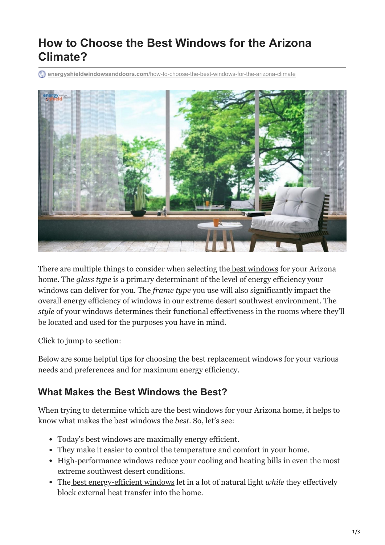# **How to Choose the Best Windows for the Arizona Climate?**

**energyshieldwindowsanddoors.com**[/how-to-choose-the-best-windows-for-the-arizona-climate](https://energyshieldwindowsanddoors.com/how-to-choose-the-best-windows-for-the-arizona-climate/)



There are multiple things to consider when selecting the [best windows](https://energyshieldwindowsanddoors.com/replacement-windows/) for your Arizona home. The *glass type* is a primary determinant of the level of energy efficiency your windows can deliver for you. The *frame type* you use will also significantly impact the overall energy efficiency of windows in our extreme desert southwest environment. The *style* of your windows determines their functional effectiveness in the rooms where they'll be located and used for the purposes you have in mind.

Click to jump to section:

Below are some helpful tips for choosing the best replacement windows for your various needs and preferences and for maximum energy efficiency.

### **What Makes the Best Windows the Best?**

When trying to determine which are the best windows for your Arizona home, it helps to know what makes the best windows the *best*. So, let's see:

- Today's best windows are maximally energy efficient.
- They make it easier to control the temperature and comfort in your home.
- High-performance windows reduce your cooling and heating bills in even the most extreme southwest desert conditions.
- The [best energy-efficient windows](https://energyshieldwindowsanddoors.com/styles-of-windows-from-energy-shield-window-and-door-company-arizona/) let in a lot of natural light *while* they effectively block external heat transfer into the home.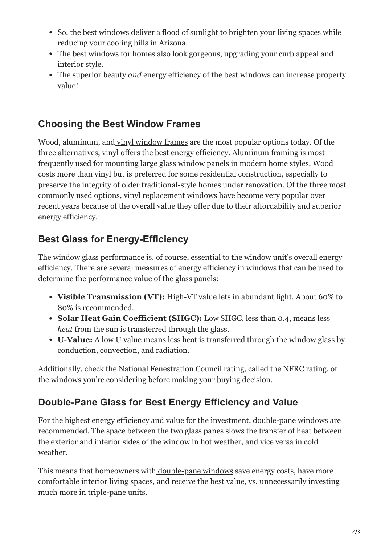- So, the best windows deliver a flood of sunlight to brighten your living spaces while reducing your cooling bills in Arizona.
- The best windows for homes also look gorgeous, upgrading your curb appeal and interior style.
- The superior beauty *and* energy efficiency of the best windows can increase property value!

### **Choosing the Best Window Frames**

Wood, aluminum, and [vinyl window frames](https://energyshieldwindowsanddoors.com/vinyl-windows-arizona/) are the most popular options today. Of the three alternatives, vinyl offers the best energy efficiency. Aluminum framing is most frequently used for mounting large glass window panels in modern home styles. Wood costs more than vinyl but is preferred for some residential construction, especially to preserve the integrity of older traditional-style homes under renovation. Of the three most commonly used options[, vinyl replacement windows](https://energyshieldwindowsanddoors.com/5-steps-to-choosing-the-right-replacement-windows/) have become very popular over recent years because of the overall value they offer due to their affordability and superior energy efficiency.

### **Best Glass for Energy-Efficiency**

The [window glass](https://energyshieldwindowsanddoors.com/how-to-find-the-best-replacement-windows-for-your-home/) performance is, of course, essential to the window unit's overall energy efficiency. There are several measures of energy efficiency in windows that can be used to determine the performance value of the glass panels:

- **Visible Transmission (VT):** High-VT value lets in abundant light. About 60% to 80% is recommended.
- **Solar Heat Gain Coefficient (SHGC):** Low SHGC, less than 0.4, means less *heat* from the sun is transferred through the glass.
- **U-Value:** A low U value means less heat is transferred through the window glass by conduction, convection, and radiation.

Additionally, check the National Fenestration Council rating, called the [NFRC rating](https://www.nfrc.org/), of the windows you're considering before making your buying decision.

## **Double-Pane Glass for Best Energy Efficiency and Value**

For the highest energy efficiency and value for the investment, double-pane windows are recommended. The space between the two glass panes slows the transfer of heat between the exterior and interior sides of the window in hot weather, and vice versa in cold weather.

This means that homeowners with <u>double-pane windows</u> save energy costs, have more comfortable interior living spaces, and receive the best value, vs. unnecessarily investing much more in triple-pane units.